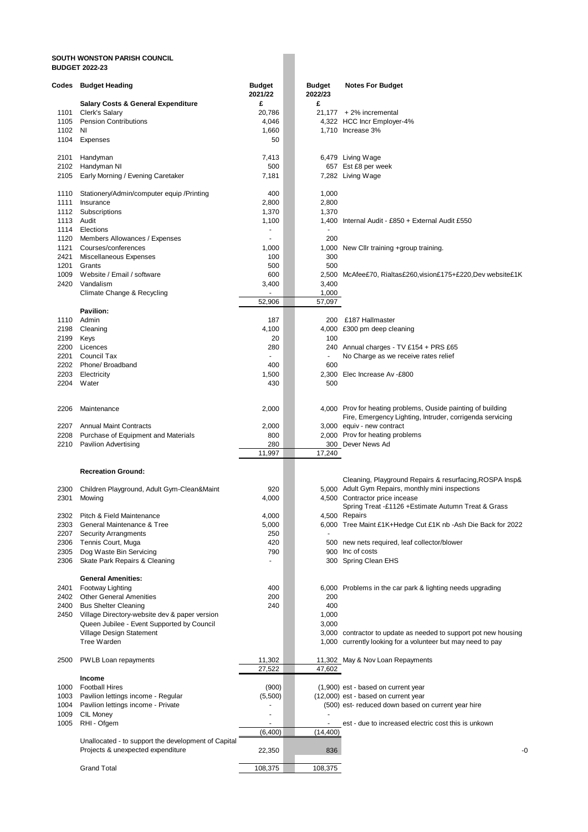## **SOUTH WONSTON PARISH COUNCIL BUDGET 2022-23**

| Codes        | <b>Budget Heading</b>                                                                    | <b>Budget</b><br>2021/22 | <b>Budget</b><br>2022/23 | <b>Notes For Budget</b>                                                             |
|--------------|------------------------------------------------------------------------------------------|--------------------------|--------------------------|-------------------------------------------------------------------------------------|
|              | <b>Salary Costs &amp; General Expenditure</b>                                            | £                        | £                        |                                                                                     |
| 1101         | Clerk's Salary                                                                           | 20,786                   |                          | $21,177 + 2\%$ incremental                                                          |
| 1105<br>1102 | <b>Pension Contributions</b><br>ΝI                                                       | 4,046<br>1,660           |                          | 4,322 HCC Incr Employer-4%<br>1,710 Increase 3%                                     |
| 1104         | <b>Expenses</b>                                                                          | 50                       |                          |                                                                                     |
|              |                                                                                          |                          |                          |                                                                                     |
| 2101         | Handyman                                                                                 | 7,413                    |                          | 6,479 Living Wage                                                                   |
| 2102         | Handyman NI                                                                              | 500                      |                          | 657 Est £8 per week                                                                 |
| 2105         | Early Morning / Evening Caretaker                                                        | 7,181                    |                          | 7,282 Living Wage                                                                   |
| 1110         | Stationery/Admin/computer equip /Printing                                                | 400                      | 1,000                    |                                                                                     |
| 1111         | Insurance                                                                                | 2,800                    | 2,800                    |                                                                                     |
| 1112         | Subscriptions                                                                            | 1,370                    | 1,370                    |                                                                                     |
| 1113         | Audit                                                                                    | 1,100                    |                          | 1,400 Internal Audit - £850 + External Audit £550                                   |
| 1114         | Elections                                                                                |                          |                          |                                                                                     |
| 1120         | Members Allowances / Expenses                                                            |                          | 200                      |                                                                                     |
| 1121<br>2421 | Courses/conferences<br>Miscellaneous Expenses                                            | 1,000<br>100             | 1,000<br>300             | New Cllr training +group training.                                                  |
| 1201         | Grants                                                                                   | 500                      | 500                      |                                                                                     |
| 1009         | Website / Email / software                                                               | 600                      |                          | 2,500 McAfee£70, Rialtas£260, vision£175+£220, Dev website£1K                       |
| 2420         | Vandalism                                                                                | 3,400                    | 3,400                    |                                                                                     |
|              | Climate Change & Recycling                                                               |                          | 1,000                    |                                                                                     |
|              |                                                                                          | 52,906                   | 57,097                   |                                                                                     |
|              | Pavilion:                                                                                |                          |                          | £187 Hallmaster                                                                     |
| 1110<br>2198 | Admin<br>Cleaning                                                                        | 187<br>4,100             | 200                      | 4,000 £300 pm deep cleaning                                                         |
| 2199         | Keys                                                                                     | 20                       | 100                      |                                                                                     |
| 2200         | Licences                                                                                 | 280                      |                          | 240 Annual charges - TV £154 + PRS £65                                              |
| 2201         | Council Tax                                                                              | ٠                        | $\overline{\phantom{a}}$ | No Charge as we receive rates relief                                                |
| 2202         | Phone/ Broadband                                                                         | 400                      | 600                      |                                                                                     |
| 2203         | Electricity                                                                              | 1,500                    | 2,300                    | Elec Increase Av -£800                                                              |
| 2204         | Water                                                                                    | 430                      | 500                      |                                                                                     |
| 2206         | Maintenance                                                                              | 2,000                    |                          | 4,000 Prov for heating problems, Ouside painting of building                        |
|              |                                                                                          |                          |                          | Fire, Emergency Lighting, Intruder, corrigenda servicing                            |
| 2207         | <b>Annual Maint Contracts</b>                                                            | 2,000                    |                          | 3,000 equiv - new contract                                                          |
| 2208<br>2210 | Purchase of Equipment and Materials<br><b>Pavilion Advertising</b>                       | 800<br>280               |                          | 2,000 Prov for heating problems<br>300 Dever News Ad                                |
|              |                                                                                          | 11,997                   | 17,240                   |                                                                                     |
|              |                                                                                          |                          |                          |                                                                                     |
|              | <b>Recreation Ground:</b>                                                                |                          |                          |                                                                                     |
|              |                                                                                          |                          |                          | Cleaning, Playground Repairs & resurfacing, ROSPA Insp&                             |
| 2300<br>2301 | Children Playground, Adult Gym-Clean&Maint                                               | 920<br>4,000             |                          | 5,000 Adult Gym Repairs, monthly mini inspections<br>4,500 Contractor price incease |
|              | Mowing                                                                                   |                          |                          | Spring Treat -£1126 +Estimate Autumn Treat & Grass                                  |
| 2302         | Pitch & Field Maintenance                                                                | 4,000                    |                          | 4,500 Repairs                                                                       |
| 2303         | General Maintenance & Tree                                                               | 5,000                    |                          | 6,000 Tree Maint £1K+Hedge Cut £1K nb -Ash Die Back for 2022                        |
| 2207         | <b>Security Arrangments</b>                                                              | 250                      |                          |                                                                                     |
| 2306         | Tennis Court, Muga                                                                       | 420                      |                          | 500 new nets required, leaf collector/blower                                        |
| 2305<br>2306 | Dog Waste Bin Servicing                                                                  | 790                      |                          | 900 Inc of costs                                                                    |
|              | Skate Park Repairs & Cleaning                                                            |                          |                          | 300 Spring Clean EHS                                                                |
|              | <b>General Amenities:</b>                                                                |                          |                          |                                                                                     |
| 2401         | <b>Footway Lighting</b>                                                                  | 400                      |                          | 6,000 Problems in the car park & lighting needs upgrading                           |
| 2402         | <b>Other General Amenities</b>                                                           | 200                      | 200                      |                                                                                     |
| 2400         | <b>Bus Shelter Cleaning</b>                                                              | 240                      | 400                      |                                                                                     |
| 2450         | Village Directory-website dev & paper version                                            |                          | 1,000<br>3,000           |                                                                                     |
|              | Queen Jubilee - Event Supported by Council<br>Village Design Statement                   |                          |                          | 3,000 contractor to update as needed to support pot new housing                     |
|              | <b>Tree Warden</b>                                                                       |                          |                          | 1,000 currently looking for a volunteer but may need to pay                         |
|              |                                                                                          |                          |                          |                                                                                     |
| 2500         | PWLB Loan repayments                                                                     | 11,302                   |                          | 11,302 May & Nov Loan Repayments                                                    |
|              |                                                                                          | 27,522                   | 47,602                   |                                                                                     |
|              | Income                                                                                   |                          |                          |                                                                                     |
| 1000<br>1003 | <b>Football Hires</b><br>Pavilion lettings income - Regular                              | (900)<br>(5,500)         |                          | (1,900) est - based on current year<br>(12,000) est - based on current year         |
| 1004         | Pavilion lettings income - Private                                                       |                          |                          | (500) est- reduced down based on current year hire                                  |
| 1009         | CIL Money                                                                                |                          |                          |                                                                                     |
| 1005         | RHI - Ofgem                                                                              |                          | $\blacksquare$           | est - due to increased electric cost this is unkown                                 |
|              |                                                                                          | (6,400)                  | (14, 400)                |                                                                                     |
|              | Unallocated - to support the development of Capital<br>Projects & unexpected expenditure | 22,350                   | 836                      | -0                                                                                  |
|              |                                                                                          |                          |                          |                                                                                     |
|              | <b>Grand Total</b>                                                                       | 108,375                  | 108,375                  |                                                                                     |